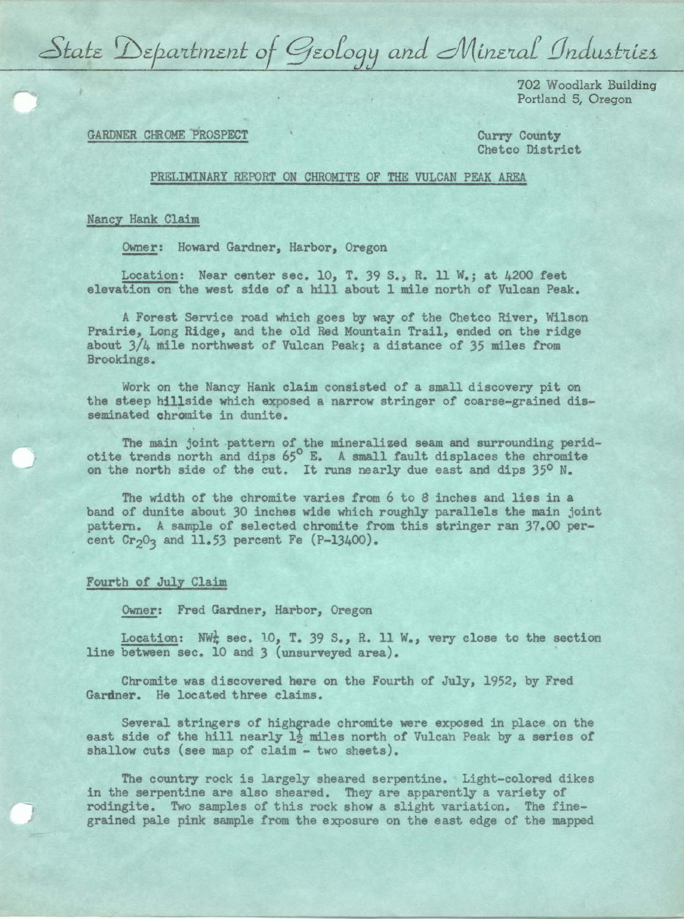State Department of Geology and Mineral Industries

702 Woodlark Building Portland 5, Oregon

## GARDNER CHROME PROSPECT

Curry County Chetco District

## PRELIMINARY REPORT ON CHROMITE OF THE VULCAN PEAK AREA

## Nancy Hank Claim

Owner: Howard Gardner, Harbor, Oregon

Location: Near center **sec.** 10, T. 39 s., R. ll W.; at 4200 feet elevation on the **west** side of a hill about l mile north of Vulcan Peak.

A Forest Service road which goes by way of the Chetco River, Wilson Prairie, Long Ridge, and the old Red Mountain Trail, ended on the ridge about 3/4 mile northwest of Vulcan Peak; a distance of 35 miles from Brookings.

Work on the Nancy Hank claim consisted of a small discovery pit on the steep hillside which exposed a narrow stringer of coarse-grained disseminated chromite in dunite.

The main joint pattern of the mineralized seam and surrounding peridotite trends north and dips  $65^\circ$  E. A small fault displaces the chromite on the north side of the cut. It runs nearly due east and dips 35° N.

The width of the chromite varies from 6 to 8 inches and lies in a band of dunite about 30 inches wide which roughly parallels the main joint pattern. A sample of selected chromite from this stringer ran 37.00 percent  $Cr_2O_3$  and 11.53 percent Fe (P-13400).

## Fourth of July Claim

Owner: Fred Gardner, Harbor, Oregon

Location: NW¼ **sec.** 10, T. 39 s., R. 11 w., very close to the section line between sec. 10 and 3 (unsurveyed area).

Chromite was discovered here on the Fourth of July, 1952, by Fred Gardner. He located three claims.

Several stringers of highgrade chromite were exposed in place on the east side of the hill nearly  $1\frac{1}{2}$  miles north of Vulcah Peak by a series of shallow cuts (see map of claim - two sheets).

The country rock is largely sheared serpentine. Light-colored dikes in the serpentine are also sheared. They are apparently a variety of rodingite. Two samples of this rock show a slight variation. The finegrained pale pink sample from the exposure on the east edge of the mapped